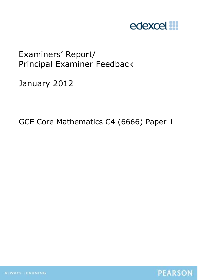

# Examiners' Report/ Principal Examiner Feedback

January 2012

GCE Core Mathematics C4 (6666) Paper 1

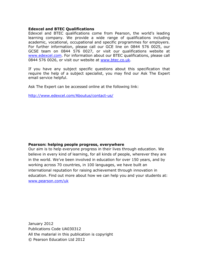#### **Edexcel and BTEC Qualifications**

Edexcel and BTEC qualifications come from Pearson, the world's leading learning company. We provide a wide range of qualifications including academic, vocational, occupational and specific programmes for employers. For further information, please call our GCE line on 0844 576 0025, our GCSE team on 0844 576 0027, or visit our qualifications website at www.edexcel.com. For information about our BTEC qualifications, please call 0844 576 0026, or visit our website at www.btec.co.uk.

If you have any subject specific questions about this specification that require the help of a subject specialist, you may find our Ask The Expert email service helpful.

Ask The Expert can be accessed online at the following link:

http://www.edexcel.com/Aboutus/contact-us/

#### **Pearson: helping people progress, everywhere**

Our aim is to help everyone progress in their lives through education. We believe in every kind of learning, for all kinds of people, wherever they are in the world. We've been involved in education for over 150 years, and by working across 70 countries, in 100 languages, we have built an international reputation for raising achievement through innovation in education. Find out more about how we can help you and your students at: www.pearson.com/uk

January 2012 Publications Code UA030312 All the material in this publication is copyright © Pearson Education Ltd 2012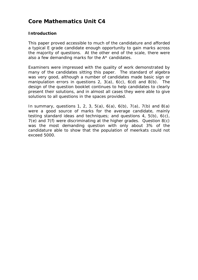## **Core Mathematics Unit C4**

#### **Introduction**

This paper proved accessible to much of the candidature and afforded a typical E grade candidate enough opportunity to gain marks across the majority of questions. At the other end of the scale, there were also a few demanding marks for the  $A^*$  candidates.

Examiners were impressed with the quality of work demonstrated by many of the candidates sitting this paper. The standard of algebra was very good, although a number of candidates made basic sign or manipulation errors in questions 2,  $3(a)$ ,  $6(c)$ ,  $6(d)$  and  $8(b)$ . The design of the question booklet continues to help candidates to clearly present their solutions, and in almost all cases they were able to give solutions to all questions in the spaces provided.

In summary, questions 1, 2, 3, 5(a), 6(a), 6(b), 7(a), 7(b) and 8(a) were a good source of marks for the average candidate, mainly testing standard ideas and techniques; and questions 4, 5(b), 6(c), 7(e) and 7(f) were discriminating at the higher grades. Question 8(c) was the most demanding question with only about 3% of the candidature able to show that the population of meerkats could not exceed 5000.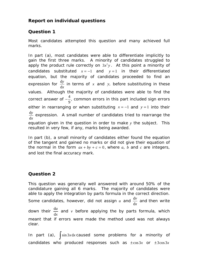### **Report on individual questions**

## **Question 1**

Most candidates attempted this question and many achieved full marks.

In part (a), most candidates were able to differentiate implicitly to gain the first three marks. A minority of candidates struggled to apply the product rule correctly on  $3x^2y$ . At this point a minority of candidates substituted  $x = -1$  and  $y = 1$  in their differentiated equation, but the majority of candidates proceeded to find an expression for  $\frac{d}{2}$ d *y x* in terms of *x* and *y*, before substituting in these values. Although the majority of candidates were able to find the correct answer of  $-\frac{4}{3}$ , 9 −<sup>1</sup>/<sub>2</sub>, common errors in this part included sign errors either in rearranging or when substituting *x* = −1 and *y* = 1 into their d d *y x* expression. A small number of candidates tried to rearrange the equation given in the question in order to make *y* the subject. This resulted in very few, if any, marks being awarded.

In part (b), a small minority of candidates either found the equation of the tangent and gained no marks or did not give their equation of the normal in the form  $ax + by + c = 0$ , where *a*, *b* and *c* are integers, and lost the final accuracy mark.

### **Question 2**

This question was generally well answered with around 50% of the candidature gaining all 6 marks. The majority of candidates were able to apply the integration by parts formula in the correct direction. Some candidates, however, did not assign  $u$  and  $\frac{d}{dx}$ d *v x* and then write down their  $\frac{d}{d}$ d *u x* and *v* before applying the by parts formula, which meant that if errors were made the method used was not always clear.

In part (a),  $\int \sin 3x dx$  caused some problems for a minority of candidates who produced responses such as  $\pm \cos 3x$  or  $\pm 3\cos 3x$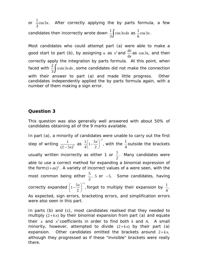or  $\frac{1}{2}$ cos 3 3 *x* . After correctly applying the by parts formula, a few candidates then incorrectly wrote down  $\frac{1}{2} \int \cos 3x \, dx$  $\frac{1}{3}\int \cos 3x \, dx$  as  $\frac{1}{6} \cos 3x$ 6 *x* .

Most candidates who could attempt part (a) were able to make a good start to part (b), by assigning  $u$  as  $x^2$  and  $\frac{d}{dx}$ d *v x* as  $cos 3x$ , and then correctly apply the integration by parts formula. At this point, when faced with  $\frac{2}{\pi} \int x \sin 3x dx$  $\frac{2}{3}$ ∫*x* sin 3*x* d*x*, some candidates did not make the connection with their answer to part (a) and made little progress. Other candidates independently applied the by parts formula again, with a number of them making a sign error.

#### **Question 3**

This question was also generally well answered with about 50% of candidates obtaining all of the 9 marks available.

In part (a), a minority of candidates were unable to carry out the first step of writing  $\frac{1}{(2-5x)^2}$  $(2 - 5x)$ as  $\frac{1}{4}\left(1-\frac{5x}{2}\right)^{-2}$  $4\begin{pmatrix} 2 \end{pmatrix}$  $\left(1-\frac{5x}{2}\right)^{-2}$ , with the  $\frac{1}{4}$ outside the brackets usually written incorrectly as either 1 or  $\frac{1}{2}$ 2 . Many candidates were able to use a correct method for expanding a binomial expression of the form $(1 + ax)^n$ . A variety of incorrect values of *a* were seen, with the most common being either  $\frac{5}{5}$ 2 , 5 or −5. Some candidates, having correctly expanded  $\left(1-\frac{5x}{2}\right)^{-2}$ , forgot to multiply their expansion by  $\frac{1}{4}$ . As expected, sign errors, bracketing errors, and simplification errors were also seen in this part.

In parts (b) and (c), most candidates realised that they needed to multiply  $(2 + kx)$  by their binomial expansion from part (a) and equate their x and  $x^2$  coefficients in order to find both  $k$  and  $A$ . A small minority, however, attempted to divide  $(2 + kx)$  by their part (a) expansion. Other candidates omitted the brackets around  $2 + kx$ , although they progressed as if these "invisible" brackets were really there.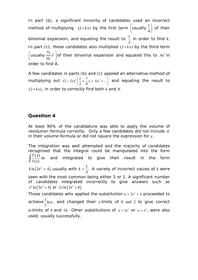In part (b), a significant minority of candidates used an incorrect method of multiplying  $(2 + kx)$  by the first term  $\left(\text{usually} \frac{1}{2}\right)$  $\left($  usually  $\frac{1}{4}\right)$  of their binomial expansion, and equating the result to  $\frac{1}{2}$ 2 in order to find *k*. In part (c), these candidates also multiplied  $(2 + kx)$  by the third term  $\left($  usually  $\frac{75}{16}x^2\right)$  of their binomial expansion and equated this to  $Ax^2$  in order to find *A*.

A few candidates in parts (b) and (c) applied an alternative method of multiplying out  $(2-5x)^2\left(\frac{1}{2}+\frac{7}{4}x+Ax^2+...\right)$  and equating the result to  $(2+kx)$ , in order to correctly find both *k* and *A*.

#### **Question 4**

used, usually successfully.

At least 90% of the candidature was able to apply the volume of revolution formula correctly. Only a few candidates did not include  $\pi$ in their volume formula or did not square the expression for *y*.

The integration was well attempted and the majority of candidates recognised that the integral could be manipulated into the form  $\frac{f'(x)}{g(x)}$  d  $f(x)$  $\frac{x}{y}$  dx *x*  $\int \frac{f'(x)}{f(x)} dx$  and integrated to give their result in the form  $k \ln (3x^2 + 4)$ , usually with  $k = \frac{1}{3}$  $k = \frac{1}{2}$ . A variety of incorrect values of *k* were seen with the most common being either 3 or 1. A significant number of candidates integrated incorrectly to give answers such as  $x^2 \ln (3x^2 + 4)$  or  $2x \ln (3x^2 + 4)$ . Those candidates who applied the substitution  $u = 3x^2 + 4$  proceeded to achieve $\frac{1}{2}$ ln 3 *u* , and changed their *x*-limits of 0 and 2 to give correct *u*-limits of 4 and 16. Other substitutions of  $u = 3x^2$  or  $u = x^2$ , were also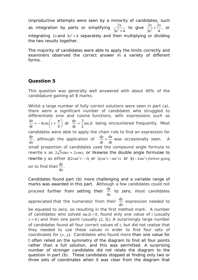Unproductive attempts were seen by a minority of candidates, such as integration by parts or simplifying  $\frac{2}{3x^2}$  $3x^2 + 4$ *x*  $\frac{2x}{x^2+4}$  to give  $\frac{2x}{3x^2} + \frac{2x}{4}$ , *x*  $+\frac{2\pi}{4}$ , or integrating  $2x$  and  $3x^2 + 4$  separately and then multiplying or dividing the two results together.

The majority of candidates were able to apply the limits correctly and examiners observed the correct answer in a variety of different forms.

### **Question 5**

This question was generally well answered with about 40% of the candidature gaining all 8 marks.

Whilst a large number of fully correct solutions were seen in part (a), there were a significant number of candidates who struggled to differentiate sine and cosine functions, with expressions such as  $\frac{dx}{1} = -4\cos\theta$  $dt$  6  $\frac{x}{t} = -4\cos\left(t\right)$ *t*  $=-4\cos\left(t+\frac{\pi}{6}\right)$  or  $\frac{dy}{dt} = \frac{3}{2}\sin 2\theta$  $dt = 2$  $\frac{y}{t} = \frac{3}{2} \sin 2t$  being encountered frequently. Most candidates were able to apply the chain rule to find an expression for d d *y x* , although the application of  $\frac{dy}{dx} \times \frac{d}{dx}$  $dt$  d *y* dx  $t$  dt  $\times \frac{dX}{dx}$  was occasionally seen. A small proportion of candidates used the compound angle formula to rewrite *x* as  $2\sqrt{3}$  sin  $t + 2\cos t$ , or likewise the double angle formulae to rewrite *y* as either  $3(2\cos^2 t - 1)$  or  $3(\cos^2 t - \sin^2 t)$  or  $3(1-2\sin^2 t)$  before going on to find their $\frac{d}{d}$ d *y x* .

Candidates found part (b) more challenging and a variable range of marks was awarded in this part. Although a few candidates could not proceed further from setting their  $\frac{d}{d}$ d *y x* to zero, most candidates appreciated that the numerator from their  $\frac{d}{d}$ d *y x* expression needed to be equated to zero, so resulting in the first method mark. A number of candidates who solved  $\sin 2t = 0$ , found only one value of *t* (usually  $t = 0$ ) and then one point (usually  $(2, 3)$ ). A surprisingly large number of candidates found all four correct values of *t*, but did not realise that they needed to use these values in order to find four sets of coordinates for  $(x, y)$ . Candidates who found more than one value for *t* often relied on the symmetry of the diagram to find all four points rather than a full solution, and this was permitted. A surprising number of stronger candidates did not relate the diagram to the question in part (b). These candidates stopped at finding only two or three sets of coordinates when it was clear from the diagram that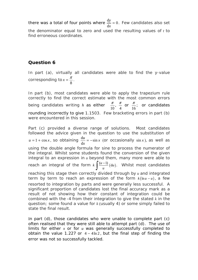there was a total of four points where  $\frac{dy}{dx} = 0$ d  $\frac{y}{x}$  = 0. Few candidates also set the denominator equal to zero and used the resulting values of *t* to find erroneous coordinates.

#### **Question 6**

In part (a), virtually all candidates were able to find the *y*-value corresponding to  $x = \frac{\pi}{8}$ .

In part (b), most candidates were able to apply the trapezium rule correctly to find the correct estimate with the most common errors being candidates writing *h* as either  $\frac{\pi}{10}$ ,  $\frac{\pi}{4}$  or 16  $\frac{\pi}{\sqrt{2}}$ ; or candidates rounding incorrectly to give 1.1503. Few bracketing errors in part (b) were encountered in this session.

Part (c) provided a diverse range of solutions. Most candidates followed the advice given in the question to use the substitution of  $u = 1 + \cos x$ , so obtaining  $\frac{du}{dx} = -\sin x$ d  $\frac{u}{x}$  = −sin *x* (or occasionally sin *x*), as well as using the double angle formula for sine to process the numerator of the integral. Whilst some students found the conversion of the given integral to an expression in *u* beyond them, many more were able to reach an integral of the form  $k \int \frac{(u-1)}{u} (du)$ .  $\int \frac{(u-1)}{u} (du)$ . Whilst most candidates reaching this stage then correctly divided through by *u* and integrated term by term to reach an expression of the form  $k(\ln u - u)$ , a few resorted to integration by parts and were generally less successful. A significant proportion of candidates lost the final accuracy mark as a result of not showing how their constant of integration could be combined with the -4 from their integration to give the stated *k* in the question; some found a value for *k* (usually 4) or some simply failed to state the final result.

In part (d), those candidates who were unable to complete part (c) often realised that they were still able to attempt part (d). The use of limits for either *x* or for *u* was generally successfully completed to obtain the value 1.227 or  $4 - 4\ln 2$ , but the final step of finding the error was not so successfully tackled.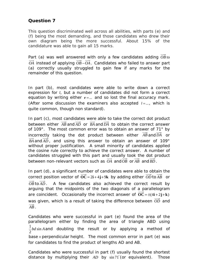### **Question 7**

This question discriminated well across all abilities, with parts (e) and (f) being the most demanding, and those candidates who drew their own diagram being the more successful. About 15% of the candidature was able to gain all 15 marks.

Part (a) was well answered with only a few candidates adding *OB*  $\longrightarrow$ to *OA* instead of applying  $\overrightarrow{OB} - \overrightarrow{OA}$ . Candidates who failed to answer part (a) correctly usually struggled to gain few if any marks for the remainder of this question.

In part (b), most candidates were able to write down a correct expression for *l*, but a number of candidates did not form a correct equation by writing either  $r = ...$  and so lost the final accuracy mark. (After some discussion the examiners also accepted  $l = ...$ , which is quite common, though non standard).

In part (c), most candidates were able to take the correct dot product between either  $\overrightarrow{AB}$  and  $\overrightarrow{AD}$  or  $\overrightarrow{BA}$  and  $\overrightarrow{DA}$  to obtain the correct answer of 109°. The most common error was to obtain an answer of  $\frac{71^{\circ}}{\rightarrow}$  by incorrectly taking the dot product between either AB and DA or  $\overline{BA}$  and  $\overline{AD}$ , and using this answer to obtain an answer of 109 $^{\circ}$ without proper justification. A small minority of candidates applied the cosine rule correctly to achieve the correct answer. A number of candidates struggled with this part and usually took the dot product between non-relevant vectors such as  $\overrightarrow{OA}$  and  $\overrightarrow{OB}$  or  $\overrightarrow{AB}$  and  $\overrightarrow{BD}$ .

In part (d), a significant number of candidates were able to obtain the correct position vector of  $\overrightarrow{OC} = 2i + 4j + 9k$  by adding either  $\overrightarrow{OD}$  to  $\overrightarrow{AB}$  or *OB*  $\stackrel{\textstyle\smile}{\longrightarrow}$ to *AD*  $\longrightarrow$ . A few candidates also achieved the correct result by arguing that the midpoints of the two diagonals of a parallelogram arguing that the midpolitics of the two diagonals of a parametogram<br>are coincident. Occasionally the incorrect answer of  $\overrightarrow{OC} = \pm (4i + 2j + k)$ was given, which is a result of taking the difference between *OD* and  $\longrightarrow$ *AB* .

Candidates who were successful in part (e) found the area of the parallelogram either by finding the area of triangle *ABD* using  $\frac{1}{2}bd \sin$ 2 bd sin A and doubling the result or by applying a method of base  $\times$  perpendicular height. The most common error in part (e) was for candidates to find the product of lengths *AD* and *AB*.

Candidates who were successful in part (f) usually found the shortest distance by multiplying their *AD* by sin 71° (or equivalent). Those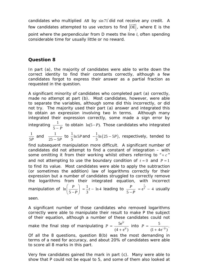candidates who multiplied *AB* by sin 71° did not receive any credit. A few candidates attempted to use vectors to find  $|{\rm DE}|$ , where  $E$  is the  $\rightarrow$ point where the perpendicular from *D* meets the line *l*, often spending considerable time for usually little or no reward.

#### **Question 8**

In part (a), the majority of candidates were able to write down the correct identity to find their constants correctly, although a few candidates forgot to express their answer as a partial fraction as requested in the question.

A significant minority of candidates who completed part (a) correctly, made no attempt at part (b). Most candidates, however, were able to separate the variables, although some did this incorrectly, or did not try. The majority used their part (a) answer and integrated this to obtain an expression involving two ln terms. Although many integrated their expression correctly, some made a sign error by integrating  $\frac{1}{5 - P}$  to obtain ln(5-*P*). Those candidates who integrated 1 5*P* and  $\frac{1}{1}$  $25 - 5P$ to  $\frac{1}{2}$ ln 5 5 *P* and  $-\frac{1}{5}$  ln  $(25 - 5P)$ , 5 −<sup>1</sup>/<sub>2</sub> *P* = 5*P*), respectively, tended to

find subsequent manipulation more difficult. A significant number of candidates did not attempt to find a constant of integration – with some omitting it from their working whilst others referring to  $" + c"$ and not attempting to use the boundary condition of  $t = 0$  and  $P = 1$ to find its value. Most candidates were able to apply the subtraction (or sometimes the addition) law of logarithms correctly for their expression but a number of candidates struggled to correctly remove the logarithms from their integrated equation, with incorrect manipulation of  $\ln \left( \frac{P}{1-\overline{P}} \right) = \frac{1}{2}t - \ln 4$  $5-P$  3  $\left(\frac{P}{I}\right) = \frac{1}{2}t$  $\left(\frac{P}{5-P}\right) = \frac{1}{3}t - \ln 4$  leading to 1  $e^3 - 4$ 5  $\frac{P}{-P}$  =  $e^{\frac{1}{3}t}$  – 4 usually

seen.

A significant number of those candidates who removed logarithms correctly were able to manipulate their result to make *P* the subject of their equation, although a number of these candidates could not make the final step of manipulating 1 3 1 3 5e  $(4 + e^{\frac{1}{3}t})$ *t*  $P = \frac{5e^{\frac{1}{3}t}}{(4 + e^{\frac{1}{3}t})}$  into  $P = \frac{5}{(1 + 4e^{-\frac{1}{3}t})}$ . Of all the 8 questions, question 8(b) was the most demanding in terms of a need for accuracy, and about 20% of candidates were able to score all 8 marks in this part.

Very few candidates gained the mark in part (c). Many were able to show that *P* could not be equal to 5, and some of them also looked at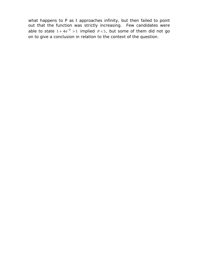what happens to *P* as *t* approaches infinity, but then failed to point out that the function was strictly increasing. Few candidates were able to state  $1 + 4e^{-\frac{1}{3}t} > 1$  implied  $P < 5$ , but some of them did not go on to give a conclusion in relation to the context of the question.